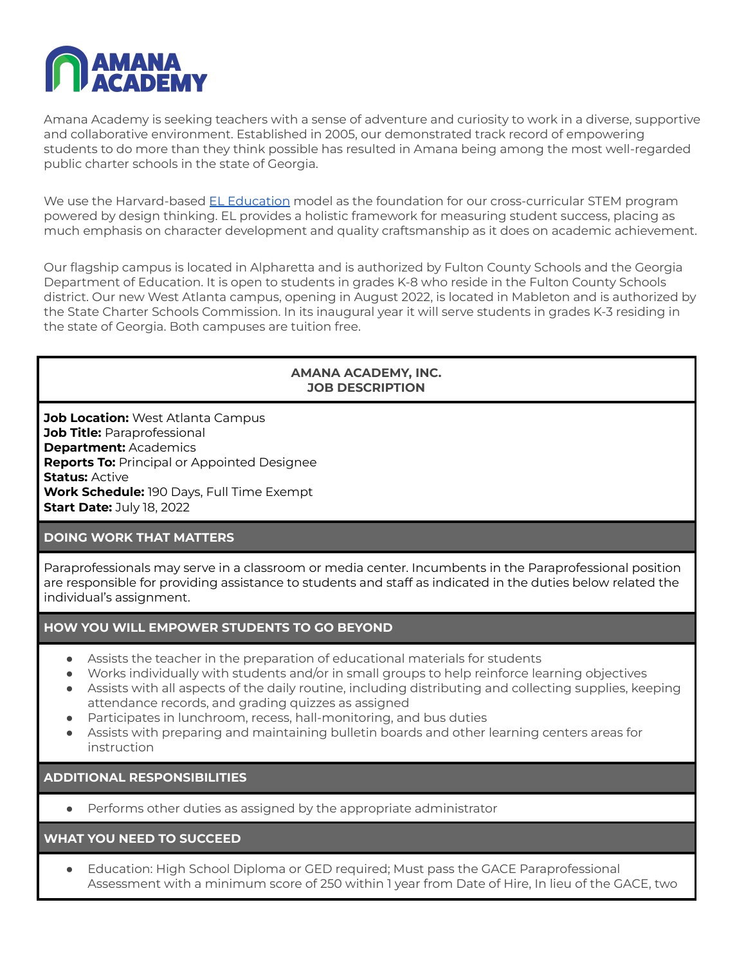

Amana Academy is seeking teachers with a sense of adventure and curiosity to work in a diverse, supportive and collaborative environment. Established in 2005, our demonstrated track record of empowering students to do more than they think possible has resulted in Amana being among the most well-regarded public charter schools in the state of Georgia.

We use the Harvard-based EL [Education](https://eleducation.org/) model as the foundation for our cross-curricular STEM program powered by design thinking. EL provides a holistic framework for measuring student success, placing as much emphasis on character development and quality craftsmanship as it does on academic achievement.

Our flagship campus is located in Alpharetta and is authorized by Fulton County Schools and the Georgia Department of Education. It is open to students in grades K-8 who reside in the Fulton County Schools district. Our new West Atlanta campus, opening in August 2022, is located in Mableton and is authorized by the State Charter Schools Commission. In its inaugural year it will serve students in grades K-3 residing in the state of Georgia. Both campuses are tuition free.

### **AMANA ACADEMY, INC. JOB DESCRIPTION**

**Job Location:** West Atlanta Campus **Job Title:** Paraprofessional **Department:** Academics **Reports To:** Principal or Appointed Designee **Status:** Active **Work Schedule:** 190 Days, Full Time Exempt **Start Date:** July 18, 2022

### **DOING WORK THAT MATTERS**

Paraprofessionals may serve in a classroom or media center. Incumbents in the Paraprofessional position are responsible for providing assistance to students and staff as indicated in the duties below related the individual's assignment.

### **HOW YOU WILL EMPOWER STUDENTS TO GO BEYOND**

- Assists the teacher in the preparation of educational materials for students
- Works individually with students and/or in small groups to help reinforce learning objectives
- Assists with all aspects of the daily routine, including distributing and collecting supplies, keeping attendance records, and grading quizzes as assigned
- Participates in lunchroom, recess, hall-monitoring, and bus duties
- Assists with preparing and maintaining bulletin boards and other learning centers areas for instruction

# **ADDITIONAL RESPONSIBILITIES**

● Performs other duties as assigned by the appropriate administrator

### **WHAT YOU NEED TO SUCCEED**

Education: High School Diploma or GED required; Must pass the GACE Paraprofessional Assessment with a minimum score of 250 within 1 year from Date of Hire, In lieu of the GACE, two